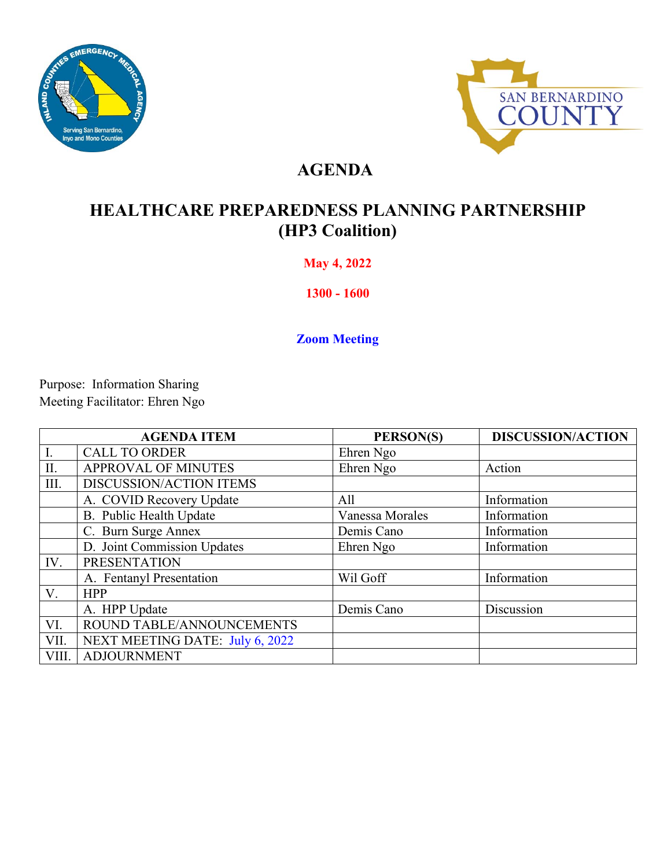



## **AGENDA**

# **HEALTHCARE PREPAREDNESS PLANNING PARTNERSHIP (HP3 Coalition)**

### **May 4, 2022**

**1300 - 1600** 

**Zoom Meeting** 

Purpose: Information Sharing Meeting Facilitator: Ehren Ngo

|       | <b>AGENDA ITEM</b>              | PERSON(S)       | <b>DISCUSSION/ACTION</b> |
|-------|---------------------------------|-----------------|--------------------------|
|       | <b>CALL TO ORDER</b>            | Ehren Ngo       |                          |
| II.   | APPROVAL OF MINUTES             | Ehren Ngo       | Action                   |
| III.  | DISCUSSION/ACTION ITEMS         |                 |                          |
|       | A. COVID Recovery Update        | All             | Information              |
|       | B. Public Health Update         | Vanessa Morales | Information              |
|       | C. Burn Surge Annex             | Demis Cano      | Information              |
|       | D. Joint Commission Updates     | Ehren Ngo       | Information              |
| IV.   | <b>PRESENTATION</b>             |                 |                          |
|       | A. Fentanyl Presentation        | Wil Goff        | Information              |
| V.    | <b>HPP</b>                      |                 |                          |
|       | A. HPP Update                   | Demis Cano      | Discussion               |
| VI.   | ROUND TABLE/ANNOUNCEMENTS       |                 |                          |
| VII.  | NEXT MEETING DATE: July 6, 2022 |                 |                          |
| VIII. | <b>ADJOURNMENT</b>              |                 |                          |